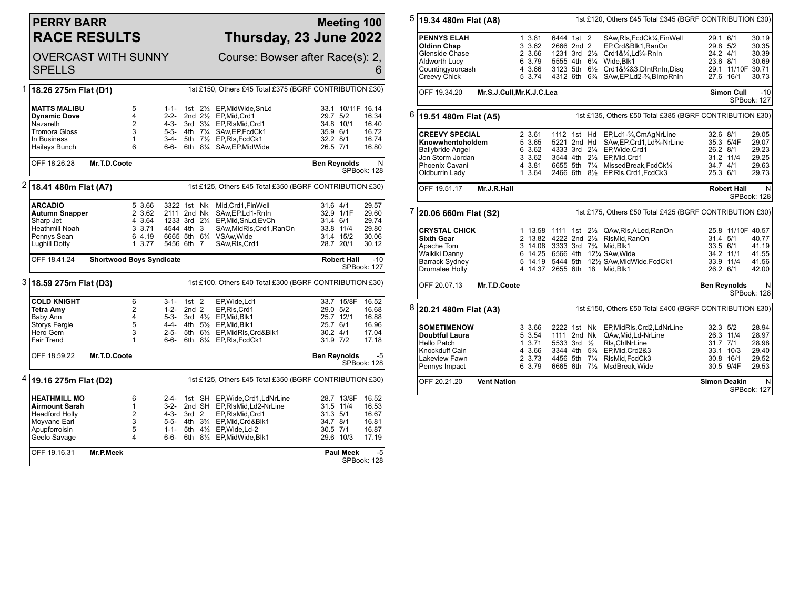## **PERRY BARR RACE RESULTS**

## **Meeting 100 Thursday, 23 June 2022**

|                                                                                     | <b>OVERCAST WITH SUNNY</b><br><b>SPELLS</b>                                       |                                     |                  |                        | Course: Bowser after Race(s): 2,<br>6 |        |                                                       |                       |                   |                |
|-------------------------------------------------------------------------------------|-----------------------------------------------------------------------------------|-------------------------------------|------------------|------------------------|---------------------------------------|--------|-------------------------------------------------------|-----------------------|-------------------|----------------|
| 1                                                                                   | 1st £150, Others £45 Total £375 (BGRF CONTRIBUTION £30)<br>18.26 275m Flat (D1)   |                                     |                  |                        |                                       |        |                                                       |                       |                   |                |
|                                                                                     | <b>MATTS MALIBU</b>                                                               | 5<br>$\overline{4}$                 |                  | $1 - 1 -$              |                                       |        | 1st 21/ <sub>2</sub> EP, Mid Wide, SnLd               |                       | 33.1 10/11F 16.14 |                |
|                                                                                     | <b>Dynamic Dove</b><br>Nazareth                                                   | $\overline{2}$                      |                  | $2 - 2 -$<br>4-3-      |                                       |        | 2nd 21/2 EP, Mid, Crd1<br>3rd 31/4 EP, RIsMid, Crd1   | 29.7 5/2<br>34.8 10/1 |                   | 16.34<br>16.40 |
|                                                                                     | <b>Tromora Gloss</b>                                                              | 3                                   |                  |                        |                                       |        | 5-5- 4th 71/4 SAw, EP, FcdCk1                         | 35.9 6/1              |                   | 16.72          |
|                                                                                     | In Business                                                                       | 1                                   |                  | 3-4-                   |                                       |        | 5th 71/ <sub>2</sub> EP, RIs, FcdCk1                  | 32.2 8/1              |                   | 16.74          |
|                                                                                     | Haileys Bunch                                                                     | 6                                   |                  | 6-6-                   |                                       |        | 6th 81/4 SAw, EP, Mid Wide                            | 26.5 7/1              |                   | 16.80          |
|                                                                                     | OFF 18.26.28                                                                      | Mr.T.D.Coote<br><b>Ben Reynolds</b> |                  |                        |                                       |        |                                                       |                       | N<br>SPBook: 128  |                |
| 2                                                                                   | 1st £125, Others £45 Total £350 (BGRF CONTRIBUTION £30)<br>18.41 480m Flat (A7)   |                                     |                  |                        |                                       |        |                                                       |                       |                   |                |
|                                                                                     | <b>ARCADIO</b>                                                                    |                                     | 5 3.66           | 3322 1st Nk            |                                       |        | Mid, Crd1, FinWell                                    | 31.6 4/1              |                   | 29.57          |
|                                                                                     | Autumn Snapper                                                                    |                                     | 2 3.62           | 2111 2nd Nk            |                                       |        | SAw, EP, Ld1-RnIn                                     |                       | 32.9 1/1F         | 29.60          |
|                                                                                     | Sharp Jet<br>Heathmill Noah                                                       |                                     | 4 3.64<br>3 3.71 | 4544 4th 3             |                                       |        | 1233 3rd 21/4 EP, Mid, SnLd, EvCh                     | 31.4 6/1              | 33.8 11/4         | 29.74<br>29.80 |
|                                                                                     | Pennys Sean                                                                       |                                     | 6 4.19           |                        |                                       |        | SAw, MidRls, Crd1, RanOn<br>6665 5th 61/4 VSAw, Wide  |                       | 31.4 15/2         | 30.06          |
|                                                                                     | Lughill Dotty                                                                     |                                     | 1, 3.77          | 5456 6th 7             |                                       |        | SAw, RIs, Crd1                                        | 28.7 20/1             |                   | 30.12          |
|                                                                                     | <b>Shortwood Boys Syndicate</b><br>OFF 18.41.24                                   |                                     |                  |                        |                                       |        | <b>Robert Hall</b>                                    | -10<br>SPBook: 127    |                   |                |
|                                                                                     | 3 18.59 275m Flat (D3)<br>1st £100, Others £40 Total £300 (BGRF CONTRIBUTION £30) |                                     |                  |                        |                                       |        |                                                       |                       |                   |                |
|                                                                                     | <b>COLD KNIGHT</b>                                                                | 6                                   |                  | $3-1 - 1st$ 2          |                                       |        | EP, Wide, Ld1                                         |                       | 33.7 15/8F        | 16.52          |
|                                                                                     | Tetra Amy                                                                         | $\overline{2}$                      |                  | 1-2-                   | 2nd <sub>2</sub>                      |        | EP, RIs, Crd1                                         | 29.0 5/2              |                   | 16.68          |
|                                                                                     | Baby Ann<br>Storys Fergie                                                         | $\overline{4}$<br>5                 |                  | $5-3-$                 |                                       |        | 3rd 41/2 EP, Mid, Blk1<br>4-4- 4th 51/2 EP, Mid, Blk1 | 25.7 12/1<br>25.7 6/1 |                   | 16.88<br>16.96 |
|                                                                                     | Hero Gem                                                                          | 3                                   |                  | $2 - 5 -$              |                                       |        | 5th 61/2 EP, MidRIs, Crd&Blk1                         | $30.2$ 4/1            |                   | 17.04          |
|                                                                                     | Fair Trend                                                                        | 1                                   |                  | 6-6-                   |                                       |        | 6th 81/4 EP, RIs, FcdCk1                              | 31.9 7/2              |                   | 17.18          |
|                                                                                     | Mr.T.D.Coote<br>OFF 18.59.22<br><b>Ben Reynolds</b><br>SPBook: 128                |                                     |                  |                        |                                       |        | $-5$                                                  |                       |                   |                |
| $4$ 19.16 275m Flat (D2)<br>1st £125, Others £45 Total £350 (BGRF CONTRIBUTION £30) |                                                                                   |                                     |                  |                        |                                       |        |                                                       |                       |                   |                |
|                                                                                     | <b>HEATHMILL MO</b>                                                               | 6                                   |                  | 2-4-                   |                                       | 1st SH | EP, Wide, Crd1, LdNrLine                              |                       | 28.7 13/8F        | 16.52          |
|                                                                                     | Airmount Sarah                                                                    | $\mathbf{1}$                        |                  | 3-2-                   |                                       |        | 2nd SH EP, RIsMid, Ld2-NrLine                         | 31.5 11/4             |                   | 16.53          |
|                                                                                     | <b>Headford Holly</b>                                                             | $\overline{2}$                      |                  | 4-3-                   | 3rd <sub>2</sub>                      |        | EP, RIsMid, Crd1                                      | 31.3 5/1              |                   | 16.67          |
|                                                                                     | Moyvane Earl<br>Apupforroisin                                                     | 3<br>5                              |                  | $5 - 5 -$<br>$1 - 1 -$ |                                       |        | 4th 31/4 EP, Mid, Crd&Blk1<br>5th 41/2 EP, Wide, Ld-2 | 34.7 8/1<br>30.5 7/1  |                   | 16.81<br>16.87 |
|                                                                                     | Geelo Savage                                                                      | $\overline{4}$                      |                  | 6-6-                   |                                       |        | 6th 81/2 EP, Mid Wide, Blk1                           |                       | 29.6 10/3         | 17.19          |
|                                                                                     | OFF 19.16.31<br>Mr.P.Meek<br><b>Paul Meek</b><br>SPBook: 128                      |                                     |                  |                        |                                       |        |                                                       | $-5$                  |                   |                |

| 5                                                                                    | 19.34 480m Flat (A8)        |                           | 1st £120, Others £45 Total £345 (BGRF CONTRIBUTION £30) |                                                                                              |                                                         |                                               |  |  |
|--------------------------------------------------------------------------------------|-----------------------------|---------------------------|---------------------------------------------------------|----------------------------------------------------------------------------------------------|---------------------------------------------------------|-----------------------------------------------|--|--|
|                                                                                      | <b>PENNYS ELAH</b>          | 1 3.81                    | 6444 1st 2                                              |                                                                                              | SAw, RIs, FcdCk1/4, FinWell                             | 29.1 6/1<br>30.19                             |  |  |
|                                                                                      | Oldinn Chap                 | 3 3.62                    | 2666 2nd 2                                              | EP,Crd&Blk1,RanOn                                                                            |                                                         | 29.8 5/2<br>30.35                             |  |  |
|                                                                                      | Glenside Chase              | 2 3.66                    |                                                         | 1231 3rd 21/2 Crd1&1/4,Ld3/4-RnIn                                                            |                                                         | 24.2 4/1<br>30.39                             |  |  |
|                                                                                      |                             | 6 3.79                    |                                                         |                                                                                              |                                                         | 30.69<br>23.6 8/1                             |  |  |
|                                                                                      | Aldworth Lucy               |                           |                                                         | 5555 4th 61/4 Wide, Blk1                                                                     |                                                         |                                               |  |  |
|                                                                                      | Countingyourcash            | 4 3.66<br>5 3.74          |                                                         | 3123 5th 61/2 Crd1&1/4&3, DIntRnIn, Disq                                                     |                                                         | 29.1 11/10F 30.71<br>27.6 16/1<br>30.73       |  |  |
|                                                                                      | <b>Creevy Chick</b>         |                           |                                                         | 4312 6th 6 <sup>3</sup> / <sub>4</sub> SAw, EP, Ld 2- <sup>3</sup> / <sub>4</sub> , BlmpRnIn |                                                         |                                               |  |  |
|                                                                                      | OFF 19.34.20                | Mr.S.J.Cull, Mr.K.J.C.Lea |                                                         |                                                                                              | $-10$<br><b>Simon Cull</b><br>SPBook: 127               |                                               |  |  |
| 6<br>1st £135, Others £50 Total £385 (BGRF CONTRIBUTION £30)<br>19.51 480m Flat (A5) |                             |                           |                                                         |                                                                                              |                                                         |                                               |  |  |
|                                                                                      | <b>CREEVY SPECIAL</b>       | 2 3.61                    |                                                         | 1112 1st Hd EP,Ld1-3/4,CmAgNrLine                                                            |                                                         | 32.6 8/1<br>29.05                             |  |  |
|                                                                                      | Knowwhentoholdem            | 5 3.65                    | 5221 2nd Hd                                             |                                                                                              | SAw, EP, Crd1, Ld <sup>3</sup> / <sub>4</sub> -NrLine   | 35.3 5/4F<br>29.07                            |  |  |
|                                                                                      | <b>Ballybride Angel</b>     | 6 3.62                    |                                                         | 4333 3rd 21/4 EP, Wide, Crd1                                                                 |                                                         | 29.23<br>26.2 8/1                             |  |  |
|                                                                                      | Jon Storm Jordan            | 3 3.62                    |                                                         | 3544 4th 21/2 EP.Mid.Crd1                                                                    |                                                         | 29.25<br>31.2 11/4                            |  |  |
|                                                                                      | Phoenix Cavani              | 4 3.81                    |                                                         | 6655 5th 71/4 MissedBreak, FcdCk1/4                                                          |                                                         | 34.7 4/1<br>29.63                             |  |  |
|                                                                                      | Oldburrin Lady              | 1 3.64                    |                                                         | 2466 6th 81/2 EP, RIs, Crd1, FcdCk3                                                          |                                                         | 25.3 6/1<br>29.73                             |  |  |
|                                                                                      | OFF 19.51.17<br>Mr.J.R.Hall |                           |                                                         |                                                                                              |                                                         | <b>Robert Hall</b><br>N<br><b>SPBook: 128</b> |  |  |
| 7<br>20.06 660m Flat (S2)                                                            |                             |                           |                                                         | 1st £175, Others £50 Total £425 (BGRF CONTRIBUTION £30)                                      |                                                         |                                               |  |  |
|                                                                                      | <b>CRYSTAL CHICK</b>        |                           |                                                         | 1 13.58 1111 1st 21/2 QAw, RIs, ALed, RanOn                                                  |                                                         | 25.8 11/10F 40.57                             |  |  |
|                                                                                      | Sixth Gear                  |                           |                                                         | 2 13.82 4222 2nd 21/2 RIsMid, RanOn                                                          |                                                         | 31.4 5/1<br>40.77                             |  |  |
|                                                                                      | Apache Tom                  |                           | 3 14.08 3333 3rd 73/4 Mid.Blk1                          |                                                                                              |                                                         | 33.5 6/1<br>41.19                             |  |  |
|                                                                                      | Waikiki Danny               |                           |                                                         | 6 14.25 6566 4th 121/4 SAw, Wide                                                             |                                                         | 34.2 11/1<br>41.55                            |  |  |
|                                                                                      | Barrack Sydney              |                           |                                                         | 5 14.19 5444 5th 121/2 SAw, Mid Wide, Fcd Ck1                                                |                                                         | 33.9 11/4<br>41.56                            |  |  |
|                                                                                      | Drumalee Holly              |                           | 4 14.37 2655 6th                                        | 18<br>Mid.Blk1                                                                               |                                                         | 26.2 6/1<br>42.00                             |  |  |
|                                                                                      | OFF 20.07.13                | Mr.T.D.Coote              |                                                         |                                                                                              |                                                         | N<br><b>Ben Reynolds</b><br>SPBook: 128       |  |  |
| 8                                                                                    | 20.21 480m Flat (A3)        |                           |                                                         |                                                                                              | 1st £150, Others £50 Total £400 (BGRF CONTRIBUTION £30) |                                               |  |  |
|                                                                                      | SOMETIMENOW                 | 3 3.66                    | 2222 1st Nk                                             |                                                                                              | EP, MidRls, Crd2, LdNrLine                              | 32.3 5/2<br>28.94                             |  |  |
|                                                                                      | Doubtful Laura              | 5 3.54                    | 1111 2nd Nk                                             | QAw.Mid.Ld-NrLine                                                                            |                                                         | 26.3 11/4<br>28.97                            |  |  |
|                                                                                      | Hello Patch                 | 1 3.71                    | 5533 3rd 1/2                                            | RIs, ChINrLine                                                                               |                                                         | 31.7 7/1<br>28.98                             |  |  |
|                                                                                      | Knockduff Cain              | 4 3.66                    |                                                         | 3344 4th 53/4 EP, Mid, Crd2&3                                                                |                                                         | 33.1 10/3<br>29.40                            |  |  |
|                                                                                      | Lakeview Fawn               | 2 3.73                    |                                                         | 4456 5th 71/4 RIsMid.FcdCk3                                                                  |                                                         | 29.52<br>30.8 16/1                            |  |  |
|                                                                                      |                             | 6 3.79                    |                                                         | 6665 6th 71/2 MsdBreak, Wide                                                                 |                                                         | 30.5 9/4F<br>29.53                            |  |  |
|                                                                                      | Pennys Impact               |                           |                                                         |                                                                                              |                                                         |                                               |  |  |